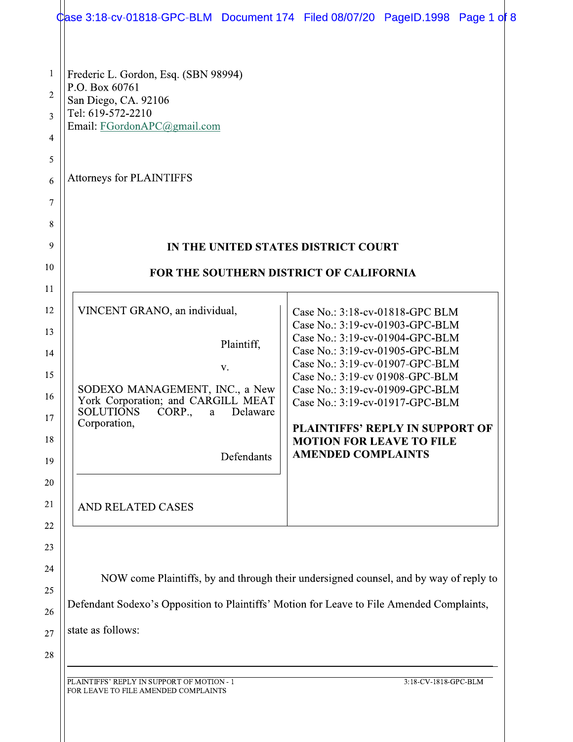|                                                        | Case 3:18-cv-01818-GPC-BLM Document 174 Filed 08/07/20 PageID.1998 Page 1 of 8                                                                                                                               |                                                                                                                                                                                                                                                                                                                                                      |                                        |
|--------------------------------------------------------|--------------------------------------------------------------------------------------------------------------------------------------------------------------------------------------------------------------|------------------------------------------------------------------------------------------------------------------------------------------------------------------------------------------------------------------------------------------------------------------------------------------------------------------------------------------------------|----------------------------------------|
| 1<br>$\overline{2}$<br>3<br>4<br>5<br>6<br>7<br>8<br>9 | Frederic L. Gordon, Esq. (SBN 98994)<br>P.O. Box 60761<br>San Diego, CA. 92106<br>Tel: 619-572-2210<br>Email: FGordonAPC@gmail.com<br><b>Attorneys for PLAINTIFFS</b><br>IN THE UNITED STATES DISTRICT COURT |                                                                                                                                                                                                                                                                                                                                                      |                                        |
| 10                                                     |                                                                                                                                                                                                              |                                                                                                                                                                                                                                                                                                                                                      |                                        |
| 11                                                     | <b>FOR THE SOUTHERN DISTRICT OF CALIFORNIA</b>                                                                                                                                                               |                                                                                                                                                                                                                                                                                                                                                      |                                        |
| 12<br>13<br>14<br>15<br>16<br>17<br>18<br>19<br>20     | VINCENT GRANO, an individual,<br>Plaintiff,<br>V.<br>SODEXO MANAGEMENT, INC., a New<br>York Corporation; and CARGILL MEAT<br><b>SOLUTIONS</b><br>CORP.,<br>Delaware<br>a<br>Corporation,<br>Defendants       | Case No.: 3:18-cv-01818-GPC BLM<br>Case No.: 3:19-cv-01903-GPC-BLM<br>Case No.: 3:19-cv-01904-GPC-BLM<br>Case No.: 3:19-cv-01905-GPC-BLM<br>Case No.: 3:19-cv-01907-GPC-BLM<br>Case No.: 3:19-cv 01908-GPC-BLM<br>Case No.: 3:19-cv-01909-GPC-BLM<br>Case No.: 3:19-cv-01917-GPC-BLM<br><b>MOTION FOR LEAVE TO FILE</b><br><b>AMENDED COMPLAINTS</b> | <b>PLAINTIFFS' REPLY IN SUPPORT OF</b> |
| 21<br>22                                               | AND RELATED CASES                                                                                                                                                                                            |                                                                                                                                                                                                                                                                                                                                                      |                                        |
| 23<br>24<br>25<br>26<br>27                             | NOW come Plaintiffs, by and through their undersigned counsel, and by way of reply to<br>Defendant Sodexo's Opposition to Plaintiffs' Motion for Leave to File Amended Complaints,<br>state as follows:      |                                                                                                                                                                                                                                                                                                                                                      |                                        |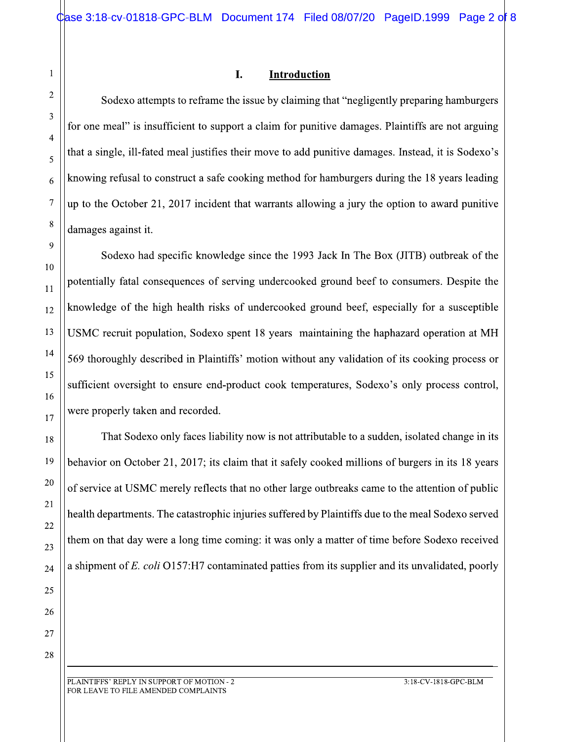### $\mathbf I$ . **Introduction**

PC-BLM Document 174 Filed 08/07/20 Pa<br> **I.** Introduction<br>
s to reframe the issue by claiming that "negligently<br>
icient to support a claim for punitive damages. Planeal justifies their move to add punitive damages.<br>
struct Sodexo attempts to reframe the issue by claiming that "negligently preparing hamburgers  $\vert \vert$ for one meal" is insufficient to support a claim for punitive damages. Plaintiffs are not arguing  $\vert \vert$ that a single, ill-fated meal justifies their move to add punitive damages. Instead, it is Sodexo's  $\mid$ knowing refusal to construct a safe cooking method for hamburgers during the T8 years leading  $\vert$ up to the October 21, 2017 incident that warrants allowing a jury the option to award punitive  $\vert$ damages against it.

Sodexo had specific knowledge since the 1993 Jack In The Box (JITB) outbreak of the  $\vert$ potentially fatal consequences of serving undercooked ground beef to consumers. Despite the knowledge of the high health risks of undercooked ground beef, especially for a susceptible  $\vert$ USMC recruit population, Sodexo spent 18 years maintaining the haphazard operation at MH  $\vert$ 569 thoroughly described in Plaintiffs' motion without any validation of its cooking process or  $\vert$  $\text{surface}$  oversight to ensure end-product cook temperatures, Sodexo's only process control, were properly taken and recorded.

That Sodexo only faces hability now is not attributable to a sudden, isolated change in its  $\vert$ behavior on October 21, 2017; its claim that it safely cooked millions of burgers in its 18 years  $\vert$ of service at USMC merely reflects that no other large outbreaks came to the attention of public  ${\tt health\, departments.}$  The catastrophic injuries suffered by Plaintiffs due to the meal Sodexo served  $\vert \vert$ them on that day were a long time coming: it was only a matter of time before Sodexo received a shipment of *E. coli* OT57:H7 contaminated patties from its supplier and its unvalidated, poorly

<u> 1989 - Andrea Barbara, amerikana amerikana amerikana amerikana amerikana amerikana amerikana amerikana amerika</u>

 $\mathbf{1}$ 

 $\overline{2}$ 

3

 $\overline{4}$ 

5

6

 $\overline{7}$ 

 $8\,$ 

9

10

 $11$ 

12

-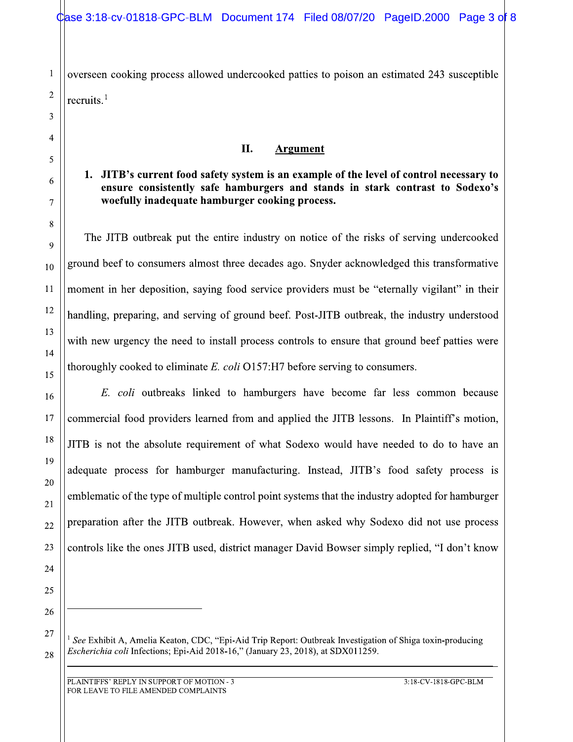overseen cooking process allowed undercooked patties to poison an estimated 243 susceptible recruits. $<sup>1</sup>$ </sup>

### II. **Argument**

# 1. JITB's current food safety system is an example of the level of control necessary to ensure consistently safe hamburgers and stands in stark contrast to Sodexo's woefully inadequate hamburger cooking process.

The JITB outbreak put the entire industry on notice of the risks of serving undercooked ground beef to consumers almost three decades ago. Snyder acknowledged this transformative moment in her deposition, saying food service providers must be "eternally vigilant" in their handling, preparing, and serving of ground beef. Post-JITB outbreak, the industry understood with new urgency the need to install process controls to ensure that ground beef patties were thoroughly cooked to eliminate  $E$ . *coli*  $O157$ : H7 before serving to consumers.

E. coli outbreaks linked to hamburgers have become far less common because commercial food providers learned from and applied the JITB lessons. In Plaintiff's motion, JITB is not the absolute requirement of what Sodexo would have needed to do to have an adequate process for hamburger manufacturing. Instead, JITB's food safety process is emblematic of the type of multiple control point systems that the industry adopted for hamburger preparation after the JITB outbreak. However, when asked why Sodexo did not use process controls like the ones JITB used, district manager David Bowser simply replied, "I don't know

26

27

28

 $\mathbf 1$ 

 $\overline{2}$ 

3

4

5

6

 $\overline{7}$ 

8

9

10

11

12

13

14

15

16

17

18

19

20

21

22

23

24

<sup>&</sup>lt;sup>1</sup> See Exhibit A, Amelia Keaton, CDC, "Epi-Aid Trip Report: Outbreak Investigation of Shiga toxin-producing Escherichia coli Infections; Epi-Aid 2018-16," (January 23, 2018), at SDX011259.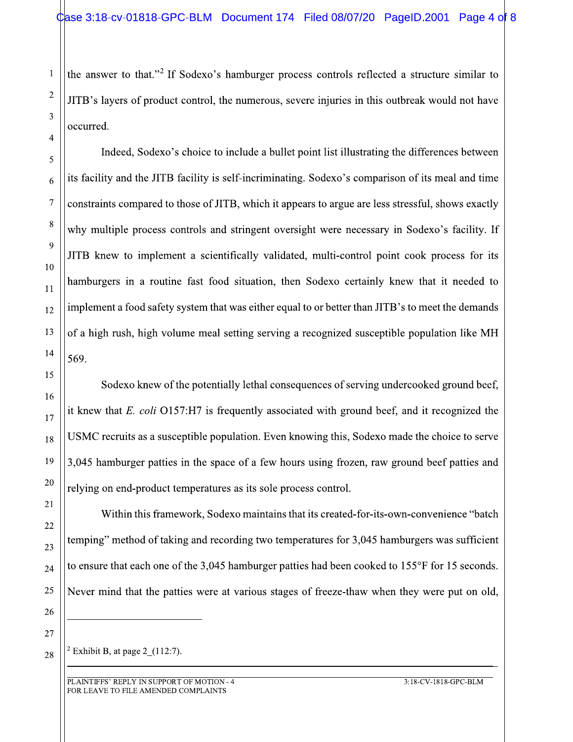the answer to that."<sup>2</sup> If Sodexo's hamburger process controls reflected a structure similar to JITB's layers of product control, the numerous, severe injuries in this outbreak would not have occurred.

Indeed, Sodexo's choice to include a bullet point list illustrating the differences between its facility and the JITB facility is self-incriminating. Sodexo's comparison of its meal and time constraints compared to those of JITB, which it appears to argue are less stressful, shows exactly why multiple process controls and stringent oversight were necessary in Sodexo's facility. If JITB knew to implement a scientifically validated, multi-control point cook process for its hamburgers in a routine fast food situation, then Sodexo certainly knew that it needed to implement a food safety system that was either equal to or better than JITB's to meet the demands of a high rush, high volume meal setting serving a recognized susceptible population like MH 569.

Sodexo knew of the potentially lethal consequences of serving undercooked ground beef, it knew that  $E$ . coli  $O157$ :H7 is frequently associated with ground beef, and it recognized the USMC recruits as a susceptible population. Even knowing this, Sodexo made the choice to serve 3,045 hamburger patties in the space of a few hours using frozen, raw ground beef patties and relying on end-product temperatures as its sole process control.

Within this framework, Sodexo maintains that its created-for-its-own-convenience "batch temping" method of taking and recording two temperatures for 3,045 hamburgers was sufficient to ensure that each one of the 3,045 hamburger patties had been cooked to 155°F for 15 seconds. Never mind that the patties were at various stages of freeze-thaw when they were put on old,

27 28

 $\mathbf 1$ 

 $\overline{2}$ 

3

 $\overline{4}$ 

5

6

 $\overline{7}$ 

8

9

10

 $11$ 

12

13

14

15

16

17

18

19

20

21

22

23

24

25

26

<sup>2</sup> Exhibit B, at page 2  $(112:7)$ .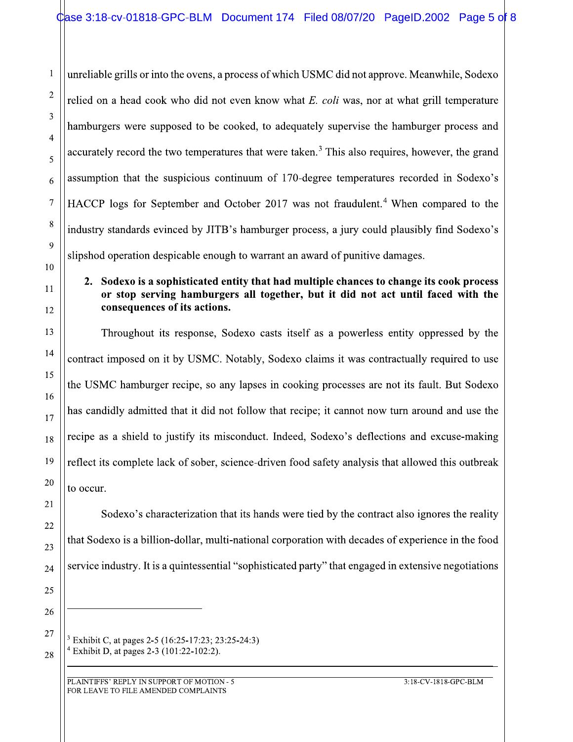unreliable grills or into the ovens, a process of which USMC did not approve. Meanwhile, Sodexo relied on a head cook who did not even know what E. coli was, nor at what grill temperature hamburgers were supposed to be cooked, to adequately supervise the hamburger process and accurately record the two temperatures that were taken.<sup>3</sup> This also requires, however, the grand assumption that the suspicious continuum of 170-degree temperatures recorded in Sodexo's HACCP logs for September and October 2017 was not fraudulent.<sup>4</sup> When compared to the industry standards evinced by JITB's hamburger process, a jury could plausibly find Sodexo's slipshod operation despicable enough to warrant an award of punitive damages.

### 2. Sodexo is a sophisticated entity that had multiple chances to change its cook process or stop serving hamburgers all together, but it did not act until faced with the consequences of its actions.

Throughout its response, Sodexo casts itself as a powerless entity oppressed by the contract imposed on it by USMC. Notably, Sodexo claims it was contractually required to use the USMC hamburger recipe, so any lapses in cooking processes are not its fault. But Sodexo has candidly admitted that it did not follow that recipe; it cannot now turn around and use the recipe as a shield to justify its misconduct. Indeed, Sodexo's deflections and excuse-making reflect its complete lack of sober, science-driven food safety analysis that allowed this outbreak to occur.

Sodexo's characterization that its hands were tied by the contract also ignores the reality that Sodexo is a billion-dollar, multi-national corporation with decades of experience in the food service industry. It is a quintessential "sophisticated party" that engaged in extensive negotiations

26 27

28

 $\mathbf 1$ 

 $\overline{2}$ 

3

 $\overline{4}$ 

5

6

 $\overline{7}$ 

 $8\,$ 

9

10

11

12

13

14

15

16

17

18

19

20

21

22

23

24

<sup>&</sup>lt;sup>3</sup> Exhibit C, at pages 2-5 (16:25-17:23; 23:25-24:3) <sup>4</sup> Exhibit D, at pages 2-3 (101:22-102:2).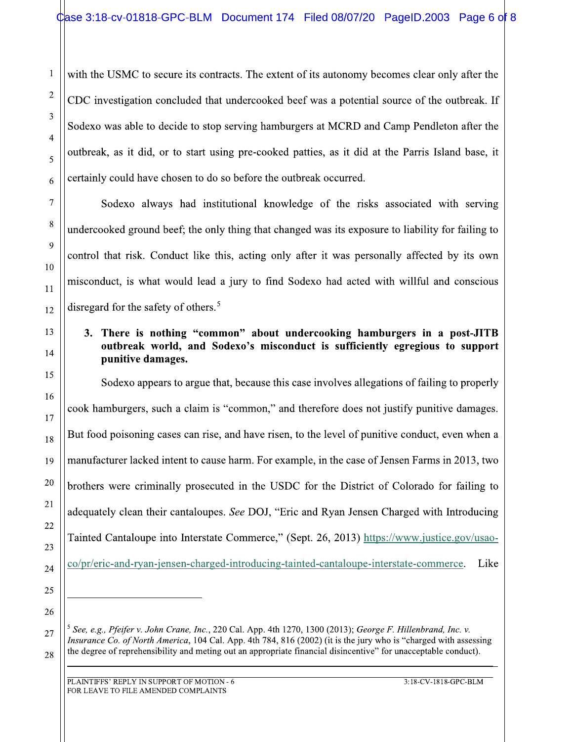with the USMC to secure its contracts. The extent of its autonomy becomes clear only after the CDC investigation concluded that undercooked beef was a potential source of the outbreak. If Sodexo was able to decide to stop serving hamburgers at MCRD and Camp Pendleton after the outbreak, as it did, or to start using pre-cooked patties, as it did at the Parris Island base, it certainly could have chosen to do so before the outbreak occurred.

Sodexo always had institutional knowledge of the risks associated with serving undercooked ground beef; the only thing that changed was its exposure to liability for failing to control that risk. Conduct like this, acting only after it was personally affected by its own misconduct, is what would lead a jury to find Sodexo had acted with willful and conscious disregard for the safety of others.<sup>5</sup>

# 3. There is nothing "common" about undercooking hamburgers in a post-JITB outbreak world, and Sodexo's misconduct is sufficiently egregious to support punitive damages.

Sodexo appears to argue that, because this case involves allegations of failing to properly cook hamburgers, such a claim is "common," and therefore does not justify punitive damages. But food poisoning cases can rise, and have risen, to the level of punitive conduct, even when a manufacturer lacked intent to cause harm. For example, in the case of Jensen Farms in 2013, two brothers were criminally prosecuted in the USDC for the District of Colorado for failing to adequately clean their cantaloupes. See DOJ, "Eric and Ryan Jensen Charged with Introducing Tainted Cantaloupe into Interstate Commerce," (Sept. 26, 2013) https://www.justice.gov/usaoco/pr/eric-and-ryan-jensen-charged-introducing-tainted-cantaloupe-interstate-commerce. Like

26

27

28

 $\mathbf 1$ 

 $\overline{2}$ 

3

 $\overline{4}$ 

5

6

 $\overline{7}$ 

8

9

10

 $11$ 

12

13

14

15

16

17

18

19

20

21

22

23

24

<sup>&</sup>lt;sup>5</sup> See, e.g., Pfeifer v. John Crane, Inc., 220 Cal. App. 4th 1270, 1300 (2013); George F. Hillenbrand, Inc. v. *Insurance Co. of North America*, 104 Cal. App. 4th 784, 816 (2002) (it is the jury who is "charged with assessing the degree of reprehensibility and meting out an appropriate financial disincentive" for unacceptable conduct).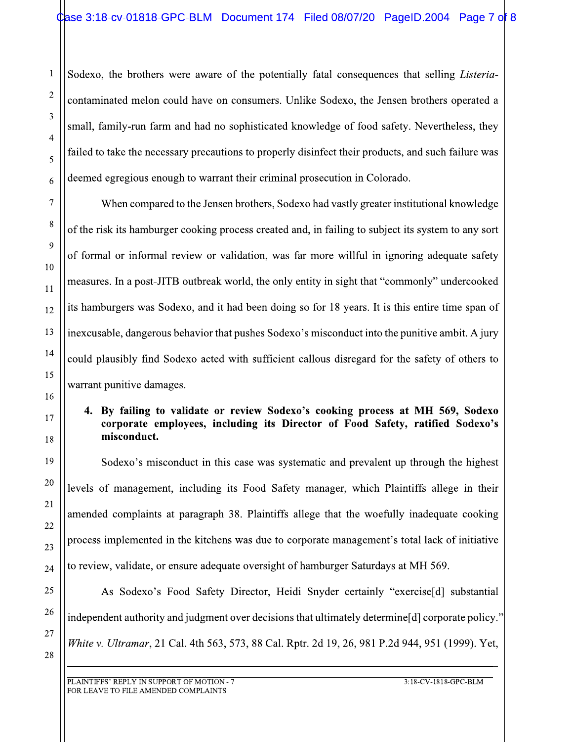#\$%&#'the brothers were aware of the potentially fatal consequences that selling *Listeria*contaminated melon could have on consumers. Unlike Sodexo, the Jensen brothers operated a ument 174 Filed 08/07/20 PageID.2004 P<br>the potentially fatal consequences that selling L<br>nsumers. Unlike Sodexo, the Jensen brothers ope<br>bhisticated knowledge of food safety. Nevertheles<br>to properly disinfect their product Solexo, the brothers were averaged and the solel of the risk its hamburger cooks and the solel of the risk its hamburger cooks of the risk its hamburger cooks of the risk its hamburger cooks of the risk its hamburger cooks  $\frac{1}{2}$  family-run farm and had no sophisticated knowledge of food safety. Nevertheless, they Example 10.2004 Page 7 of any sequences that selling *Listeria*-<br>the Jensen brothers operated a<br>food safety. Nevertheless, they<br>products, and such failure was<br>a Colorado.<br>greater institutional knowledge<br>o subject its syste  $\,$  failed to take the necessary precautions to properly disinfect their products, and such failure was  $\,$   $\,$   $\,$ The intertwalling and the University Christopher Solen School and the University of the University of the University of the University of the University of the University of the Universal Prosecution in Colorado.<br>
The Univ deemed egregious enough to warrant their criminal prosecution in Colorado.

When compared to the Jensen brothers, Sodexo had vastly greater institutional knowledge  $\vert$ could have on consumers. Unlike Sodexo, the Je<br>rm and had no sophisticated knowledge of food s<br>essary precautions to properly disinfect their prod<br>nough to warrant their criminal prosecution in Cole<br>red to the Jensen broth of the risk its hamburger cooking process created and, in failing to subject its system to any sort  $\vert$ had no sophisticated knowledge of food safety. Note recautions to properly disinfect their products, and warrant their criminal prosecution in Colorado.<br>
Le Jensen brothers, Sodexo had vastly greater institutions process c of formal or informal review or validation, was far more willful in ignoring adequate safety  $\vert$ Exercise precautions to properly disinfect their pro<br>
enough to warrant their criminal prosecution in Co<br>
pared to the Jensen brothers, Sodexo had vastly grea<br>
uurger cooking process created and, in failing to su<br>
mal revi measures. In a post-JITB outbreak world, the only entity in sight that "commonly" undercooked  $\blacksquare$ us enough to warrant their criminal prosecution in<br>sumpared to the Jensen brothers, Sodexo had vastly g<br>imburger cooking process created and, in failing to<br>formal review or validation, was far more willfu<br>oost-JITB outbrea its hamburgers was Sodexo, and it had been doing so for 18 years. It is this entire time span of  $\vert$ When compared to the Jensen brothers, Sodex<br>the risk its hamburger cooking process created and<br>formal or informal review or validation, was far<br>assures. In a post-JITB outbreak world, the only er<br>hamburgers was Sodexo, and of the risk its hamburger cooking pro<br>  $\begin{bmatrix}\n 9 \\
 10 \\
 11 \\
 12 \\
 13 \\
 14 \\
 15 \\
 16 \\
 17 \\
 18\n\end{bmatrix}$  (of formal or informal review or values)<br>
of formal or informal review or values)<br>
of formal or informal review or values<br>
of f dangerous behavior that pushes Sodexo's misconduct into the punitive ambit. A jury  $\vert\vert$ could plausibly find Sodexo acted with sufficient callous disregard for the safety of others to  $\vert$ warrant punitive damages.

# 4. By failing to validate or review Sodexo's cooking process at MH 569, Sodexo | corporate employees, including its Director of Food Safety, ratified Sodexo's  $\mid$ misconduct.

Sodexo's misconduct in this case was systematic and prevalent up through the highest  $\vert$ levels of management, including its Food Safety manager, which Plaintiffs allege in their Warrant punitive damages.<br>
4. By failing to validate or review Soc corporate employees, including its l<br>
misconduct.<br>
Sodexo's misconduct in this case was s<br>
levels of management, including its Food Sa<br>
amended complaints review Sodexo's cooking process at MH 569<br>
uding its Director of Food Safety, ratified<br>
case was systematic and prevalent up through th<br>
ts Food Safety manager, which Plaintiffs allege<br>
88. Plaintiffs allege that the woefu amended complaints at paragraph 38. Plaintiffs allege that the woefully inadequate cooking  $\vert$ process implemented in the kitchens was due to corporate management's total lack of initiative to review, validate, or ensure adequate oversight of hamburger Saturdays at MH 569. <sup>19</sup><br>
<sup>20</sup><br>
levels of management, including<br>
<sup>21</sup><br>
<sup>22</sup><br>
<sup>23</sup><br>
process implemented in the kitche<br>
<sup>24</sup><br>
<sup>25</sup><br>
<sup>26</sup><br>
<sup>26</sup><br>
<sup>27</sup><br>
<sup>27</sup><br>
<sup>28</sup><br> *White v. Ultramar*, 21 Cal. 4th 563<br>
<sup>28</sup> 19<br>
20<br>
20<br>
21<br>
22<br>
23<br>
23<br>
24<br>
25<br>
25<br>
24<br>
25<br>
24<br>
25<br>
25<br>
25<br>
27<br>
22<br>
25<br>
25<br>
25<br>
26<br>
27<br>
22<br>
22<br>
25<br>
24<br>
22<br>
25<br>
24<br>
22<br>
24<br>
24<br>
25<br>
24<br>
25<br>
24<br>
25<br>
24<br>
25<br>
24<br>
25<br>
24<br>
24<br>
24<br>
24<br>
24<br>
24<br>
24<br>
25<br>
24<br>
24<br>
25<br>
24<br>
25<br>
2 ent, including its Food Safety manager, which<br>ts at paragraph 38. Plaintiffs allege that the wood<br>in the kitchens was due to corporate manageme<br>or ensure adequate oversight of hamburger Saturd<br>'s Food Safety Director, Heid

As Sodexo's Food Safety Director, Heidi Snyder certainly "exercise[d] substantial  $1$ ndependent authority and judgment over decisions that ultimately determine $\lfloor d \rfloor$  corporate policy. The same  $\lfloor d \rfloor$ *White v. Ultramar*, 21 Cal. 4th 563, 573, 88 Cal. Rptr. 2d 19, 26, 981 P.2d 944, 951 (1999). Yet, Process implemented in the kitchens was d<br>
24<br>
to review, validate, or ensure adequate over<br>
25<br>
As Sodexo's Food Safety Direct<br>
26<br>
independent authority and judgment over de<br>
27<br>
White v. Ultramar, 21 Cal. 4th 563, 573, mplemented in the kitchens was due to corporate r<br>
validate, or ensure adequate oversight of hamburg<br>
Sodexo's Food Safety Director, Heidi Snyde<br>
ent authority and judgment over decisions that ultim<br> *Jltramar*, 21 Cal. 4t mented in the kitchens was due to corporate managemented in the kitchens was due to corporate management<br>
date, or ensure adequate oversight of hamburger S<br>
dexo's Food Safety Director, Heidi Snyder cer<br>
thority and judgme ns was due to corporate management's total lack contract and the oversight of hamburger Saturdays at MH 569.<br>
Director, Heidi Snyder certainly "exercise[d]<br>
t over decisions that ultimately determine[d] corporor, 573, 88 C vas due to corporate management's total lack of in<br>
oversight of hamburger Saturdays at MH 569.<br>
rector, Heidi Snyder certainly "exercise[d] sub<br>
er decisions that ultimately determine[d] corporate<br>
3, 88 Cal. Rptr. 2d 19, orate management's total lack of initiative<br>
amburger Saturdays at MH 569.<br>
Snyder certainly "exercise[d] substantial<br>
at ultimately determine[d] corporate policy."<br>
. 2d 19, 26, 981 P.2d 944, 951 (1999). Yet,<br>
3:18-CV-181 The state of initiative<br>tys at MH 569.<br>"exercise[d] substantial<br>rmine[d] corporate policy."<br>.2d 944, 951 (1999). Yet,<br>3:18-CV-1818-GPC-BLM

<u> 1989 - Andrea Barbara, amerikana amerikana amerikana amerikana amerikana amerikana amerikana amerikana amerika</u>

-

 $\mathbf 1$